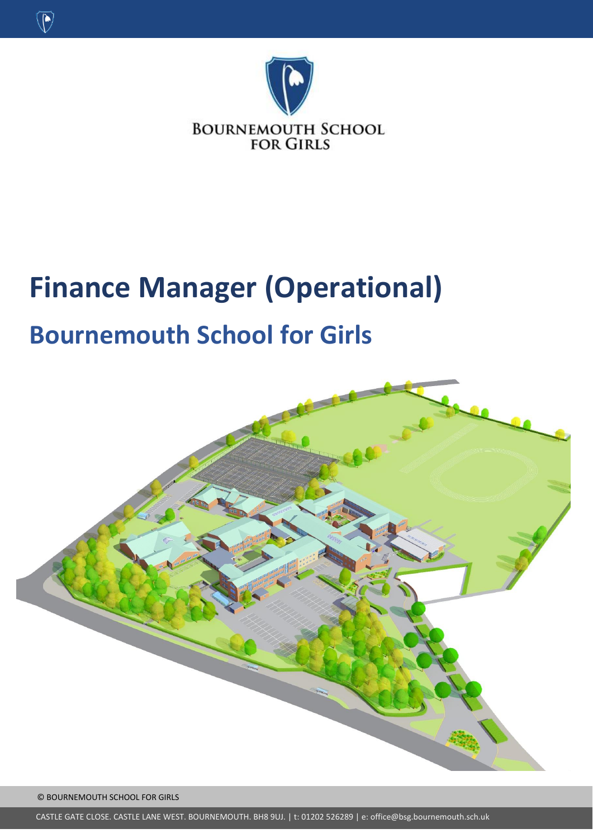

# **Finance Manager (Operational)**

## **Bournemouth School for Girls**



© BOURNEMOUTH SCHOOL FOR GIRLS

 $\circledR$ 

CASTLE GATE CLOSE. CASTLE LANE WEST. BOURNEMOUTH. BH8 9UJ. | t: 01202 526289 | e: office@bsg.bournemouth.sch.uk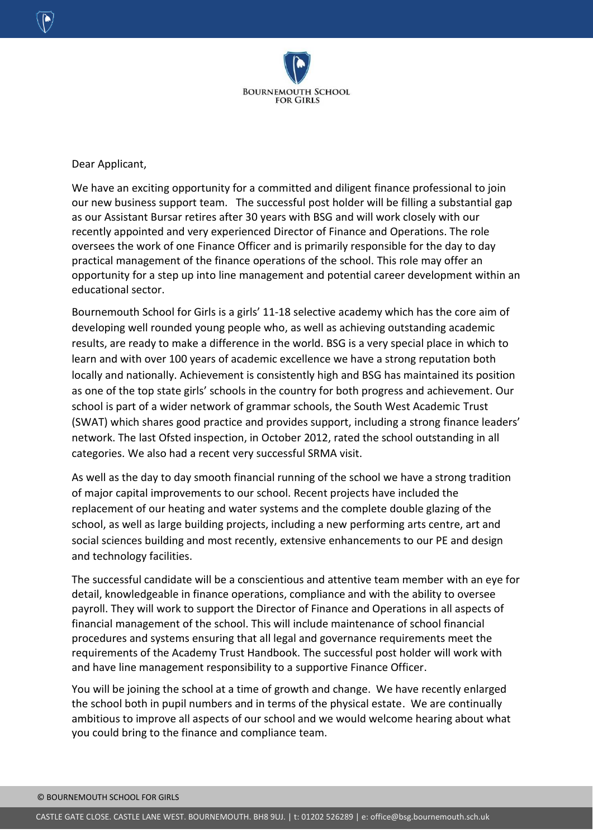

Dear Applicant,

We have an exciting opportunity for a committed and diligent finance professional to join our new business support team. The successful post holder will be filling a substantial gap as our Assistant Bursar retires after 30 years with BSG and will work closely with our recently appointed and very experienced Director of Finance and Operations. The role oversees the work of one Finance Officer and is primarily responsible for the day to day practical management of the finance operations of the school. This role may offer an opportunity for a step up into line management and potential career development within an educational sector.

Bournemouth School for Girls is a girls' 11-18 selective academy which has the core aim of developing well rounded young people who, as well as achieving outstanding academic results, are ready to make a difference in the world. BSG is a very special place in which to learn and with over 100 years of academic excellence we have a strong reputation both locally and nationally. Achievement is consistently high and BSG has maintained its position as one of the top state girls' schools in the country for both progress and achievement. Our school is part of a wider network of grammar schools, the South West Academic Trust (SWAT) which shares good practice and provides support, including a strong finance leaders' network. The last Ofsted inspection, in October 2012, rated the school outstanding in all categories. We also had a recent very successful SRMA visit.

As well as the day to day smooth financial running of the school we have a strong tradition of major capital improvements to our school. Recent projects have included the replacement of our heating and water systems and the complete double glazing of the school, as well as large building projects, including a new performing arts centre, art and social sciences building and most recently, extensive enhancements to our PE and design and technology facilities.

The successful candidate will be a conscientious and attentive team member with an eye for detail, knowledgeable in finance operations, compliance and with the ability to oversee payroll. They will work to support the Director of Finance and Operations in all aspects of financial management of the school. This will include maintenance of school financial procedures and systems ensuring that all legal and governance requirements meet the requirements of the Academy Trust Handbook. The successful post holder will work with and have line management responsibility to a supportive Finance Officer.

You will be joining the school at a time of growth and change. We have recently enlarged the school both in pupil numbers and in terms of the physical estate. We are continually ambitious to improve all aspects of our school and we would welcome hearing about what you could bring to the finance and compliance team.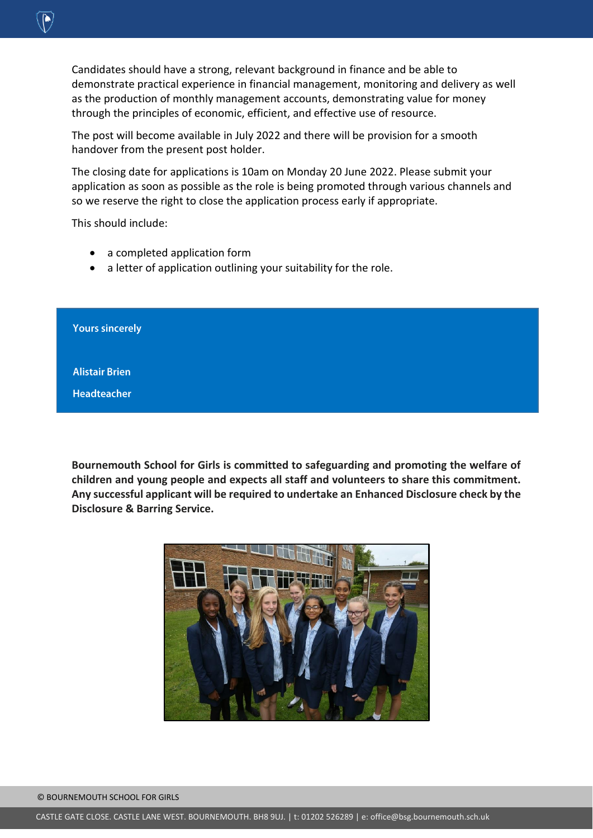Candidates should have a strong, relevant background in finance and be able to demonstrate practical experience in financial management, monitoring and delivery as well as the production of monthly management accounts, demonstrating value for money through the principles of economic, efficient, and effective use of resource.

The post will become available in July 2022 and there will be provision for a smooth handover from the present post holder.

The closing date for applications is 10am on Monday 20 June 2022. Please submit your application as soon as possible as the role is being promoted through various channels and so we reserve the right to close the application process early if appropriate.

This should include:

- a completed application form
- a letter of application outlining your suitability for the role.

**Yours sincerely** 

**Alistair Brien** 

**Headteacher** 

**Bournemouth School for Girls is committed to safeguarding and promoting the welfare of children and young people and expects all staff and volunteers to share this commitment. Any successful applicant will be required to undertake an Enhanced Disclosure check by the Disclosure & Barring Service.**

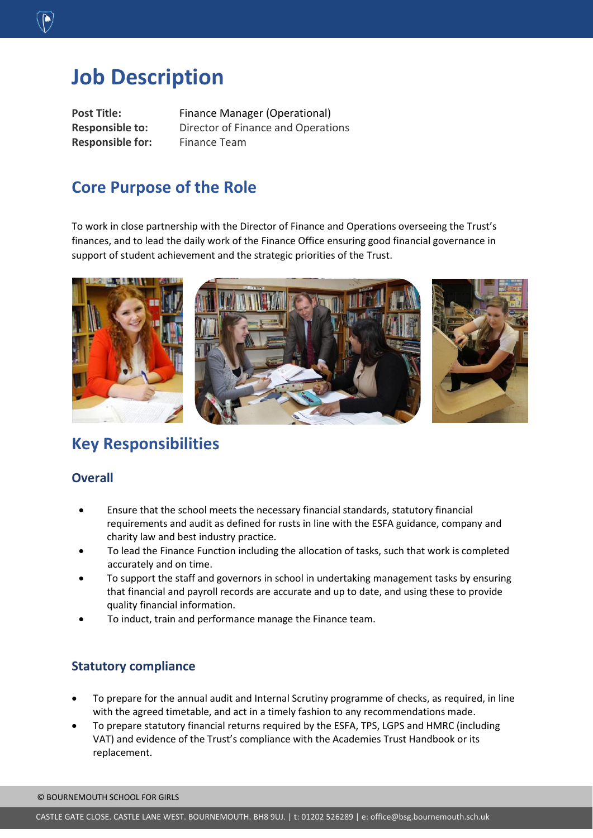## **Job Description**

**Responsible for:** Finance Team

Post Title: Finance Manager (Operational) **Responsible to:** Director of Finance and Operations

#### **Core Purpose of the Role**

To work in close partnership with the Director of Finance and Operations overseeing the Trust's finances, and to lead the daily work of the Finance Office ensuring good financial governance in support of student achievement and the strategic priorities of the Trust.



#### **Key Responsibilities**

#### **Overall**

- Ensure that the school meets the necessary financial standards, statutory financial requirements and audit as defined for rusts in line with the ESFA guidance, company and charity law and best industry practice.
- To lead the Finance Function including the allocation of tasks, such that work is completed accurately and on time.
- To support the staff and governors in school in undertaking management tasks by ensuring that financial and payroll records are accurate and up to date, and using these to provide quality financial information.
- To induct, train and performance manage the Finance team.

#### **Statutory compliance**

- To prepare for the annual audit and Internal Scrutiny programme of checks, as required, in line with the agreed timetable, and act in a timely fashion to any recommendations made.
- To prepare statutory financial returns required by the ESFA, TPS, LGPS and HMRC (including VAT) and evidence of the Trust's compliance with the Academies Trust Handbook or its replacement.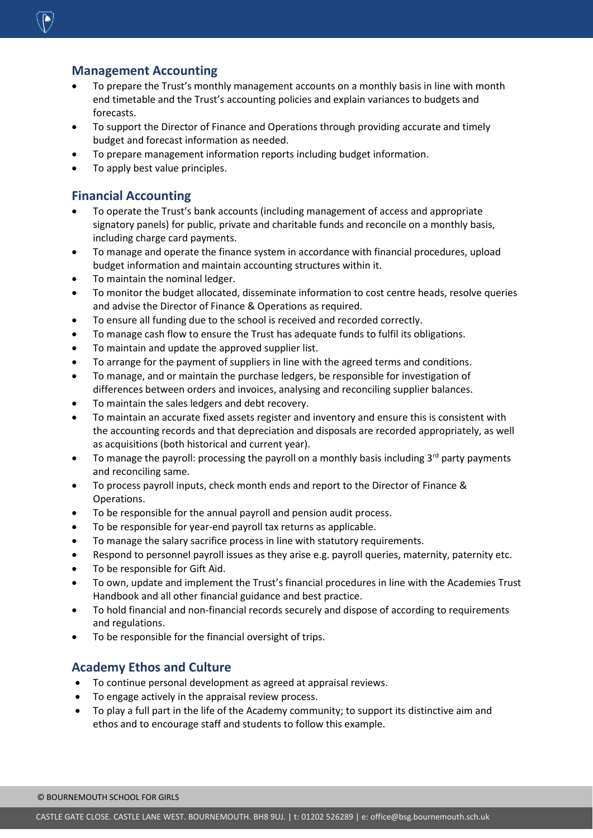#### **Management Accounting**

- To prepare the Trust's monthly management accounts on a monthly basis in line with month end timetable and the Trust's accounting policies and explain variances to budgets and forecasts.
- To support the Director of Finance and Operations through providing accurate and timely budget and forecast information as needed.
- To prepare management information reports including budget information.
- To apply best value principles.

#### **Financial Accounting**

- To operate the Trust's bank accounts (including management of access and appropriate signatory panels) for public, private and charitable funds and reconcile on a monthly basis, including charge card payments.
- To manage and operate the finance system in accordance with financial procedures, upload budget information and maintain accounting structures within it.
- To maintain the nominal ledger.
- To monitor the budget allocated, disseminate information to cost centre heads, resolve queries and advise the Director of Finance & Operations as required.
- To ensure all funding due to the school is received and recorded correctly.
- To manage cash flow to ensure the Trust has adequate funds to fulfil its obligations.
- To maintain and update the approved supplier list.
- To arrange for the payment of suppliers in line with the agreed terms and conditions.
- To manage, and or maintain the purchase ledgers, be responsible for investigation of differences between orders and invoices, analysing and reconciling supplier balances.
- To maintain the sales ledgers and debt recovery.
- To maintain an accurate fixed assets register and inventory and ensure this is consistent with the accounting records and that depreciation and disposals are recorded appropriately, as well as acquisitions (both historical and current year).
- To manage the payroll: processing the payroll on a monthly basis including 3<sup>rd</sup> party payments and reconciling same.
- To process payroll inputs, check month ends and report to the Director of Finance & Operations.
- To be responsible for the annual payroll and pension audit process.
- To be responsible for year-end payroll tax returns as applicable.
- To manage the salary sacrifice process in line with statutory requirements.
- Respond to personnel payroll issues as they arise e.g. payroll queries, maternity, paternity etc.
- To be responsible for Gift Aid.
- To own, update and implement the Trust's financial procedures in line with the Academies Trust Handbook and all other financial guidance and best practice.
- To hold financial and non-financial records securely and dispose of according to requirements and regulations.
- To be responsible for the financial oversight of trips.

#### **Academy Ethos and Culture**

- To continue personal development as agreed at appraisal reviews.
- To engage actively in the appraisal review process.
- To play a full part in the life of the Academy community; to support its distinctive aim and ethos and to encourage staff and students to follow this example.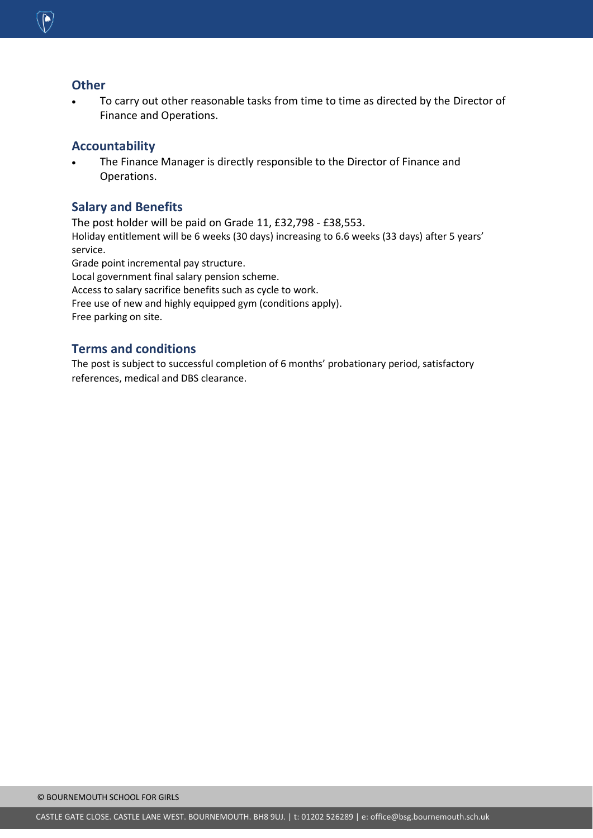

#### **Other**

 To carry out other reasonable tasks from time to time as directed by the Director of Finance and Operations.

#### **Accountability**

 The Finance Manager is directly responsible to the Director of Finance and Operations.

#### **Salary and Benefits**

The post holder will be paid on Grade 11, £32,798 - £38,553. Holiday entitlement will be 6 weeks (30 days) increasing to 6.6 weeks (33 days) after 5 years' service. Grade point incremental pay structure. Local government final salary pension scheme. Access to salary sacrifice benefits such as cycle to work. Free use of new and highly equipped gym (conditions apply).

Free parking on site.

#### **Terms and conditions**

The post is subject to successful completion of 6 months' probationary period, satisfactory references, medical and DBS clearance.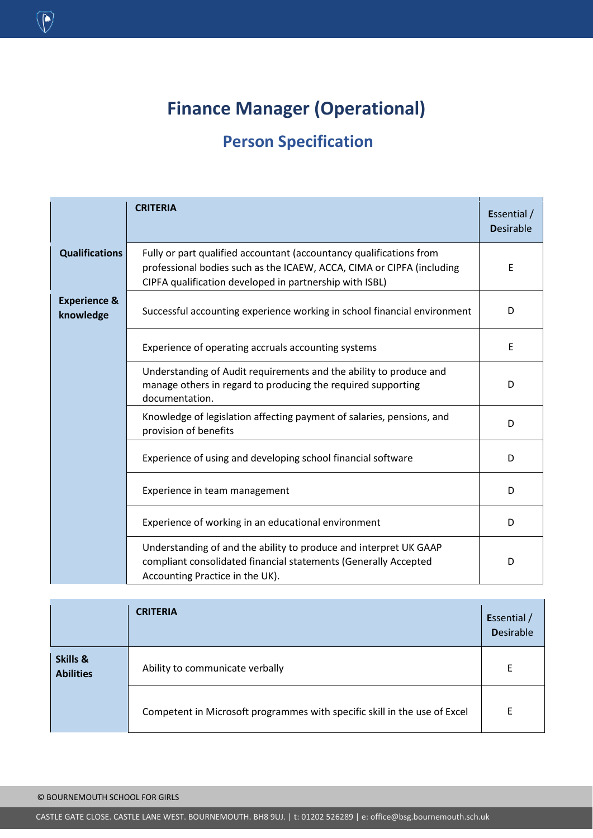## **Finance Manager (Operational)**

### **Person Specification**

|                                      | <b>CRITERIA</b>                                                                                                                                                                                         | Essential /<br><b>Desirable</b> |
|--------------------------------------|---------------------------------------------------------------------------------------------------------------------------------------------------------------------------------------------------------|---------------------------------|
| <b>Qualifications</b>                | Fully or part qualified accountant (accountancy qualifications from<br>professional bodies such as the ICAEW, ACCA, CIMA or CIPFA (including<br>CIPFA qualification developed in partnership with ISBL) | Ε                               |
| <b>Experience &amp;</b><br>knowledge | Successful accounting experience working in school financial environment                                                                                                                                | D                               |
|                                      | Experience of operating accruals accounting systems                                                                                                                                                     | E                               |
|                                      | Understanding of Audit requirements and the ability to produce and<br>manage others in regard to producing the required supporting<br>documentation.                                                    | D                               |
|                                      | Knowledge of legislation affecting payment of salaries, pensions, and<br>provision of benefits                                                                                                          | D                               |
|                                      | Experience of using and developing school financial software                                                                                                                                            | D                               |
|                                      | Experience in team management                                                                                                                                                                           | D                               |
|                                      | Experience of working in an educational environment                                                                                                                                                     | D                               |
|                                      | Understanding of and the ability to produce and interpret UK GAAP<br>compliant consolidated financial statements (Generally Accepted<br>Accounting Practice in the UK).                                 | D                               |

| Skills &<br><b>Abilities</b> | <b>CRITERIA</b>                                                           | Essential /<br><b>Desirable</b> |
|------------------------------|---------------------------------------------------------------------------|---------------------------------|
|                              | Ability to communicate verbally                                           | F                               |
|                              | Competent in Microsoft programmes with specific skill in the use of Excel | F                               |

 $\overline{\mathbb{Q}}$